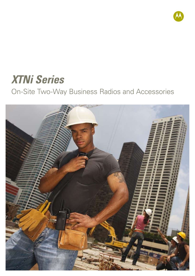

# *XTNi Series*

On-Site Two-Way Business Radios and Accessories

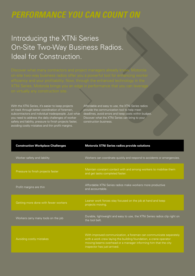## *Performance You Can Count On*

Introducing the XTNi Series On-Site Two-Way Business Radios. Ideal for Construction.

With the XTNi Series, it's easier to keep projects on track through better coordination of foremen, subcontractors and individual tradespeople. Just what you need to address the daily challenges of worker safety and liability, pressure to finish projects faster, avoiding costly mistakes and thin profit margins.

Affordable and easy to use, the XTNi Series radios provide the communication tool to help meet deadlines, avoid errors and keep costs within budget. Discover what the XTNi Series can bring to your construction business.

| <b>Construction Workplace Challenges</b> | Motorola XTNi Series radios provide solutions                                                                                                                                                                                           |
|------------------------------------------|-----------------------------------------------------------------------------------------------------------------------------------------------------------------------------------------------------------------------------------------|
| Worker safety and liability              | Workers can coordinate quickly and respond to accidents or emergencies.                                                                                                                                                                 |
| Pressure to finish projects faster       | Maintain constant contact with and among workers to mobilise them<br>and get tasks completed faster.                                                                                                                                    |
| Profit margins are thin                  | Affordable XTNi Series radios make workers more productive<br>and accountable.                                                                                                                                                          |
| Getting more done with fewer workers     | Leaner work forces stay focused on the job at hand and keep<br>projects moving.                                                                                                                                                         |
| Workers carry many tools on the job      | Durable, lightweight and easy to use, the XTNi Series radios clip right on<br>the tool belt.                                                                                                                                            |
| Avoiding costly mistakes                 | With improved communication, a foreman can communicate separately<br>with a work crew laying the building foundation, a crane operator<br>moving beams overhead or a manager informing him that the city<br>inspector has just arrived. |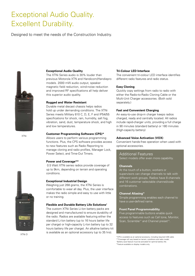### Exceptional Audio Quality. Excellent Durability.

Designed to meet the needs of the Construction Industry.



XTNi

#### **Exceptional Audio Quality**

The XTNi Series audio is 30% louder than previous Motorola XTN and Handicom/Handiepro models. 2000 mW audio output, speaker magnetic field reduction, wind-noise reduction and improved RF specifications all help deliver this superior audio quality.

#### **Rugged and Water Resistant**

Durable metal diecast chassis helps radios hold up under demanding conditions. The XTNi Series meets Military 810 C, D, E, F and IP54/55 specifications for shock, rain, humidity, salt fog, vibration, sand, dust, temperature shock, and high and low temperatures.

#### **Customer Programming Software (CPS)\***

Allows users to perform various programming functions. Plus, the CPS software provides access to new features such as Radio Reporting to manage cloning and radio profiles, Manager Lock, Power Select, and Time-Out Timers.

#### **Power and Coverage\*\***

 0.5 Watt XTNi series radios provide coverage of up to 9km, depending on terrain and operating conditions.

#### **Exceptional Industrial Design**

Weighing just 268 grams, the XTNi Series is comfortable to wear all day. Plus, the user interface makes the radio simple and easy to use with little or no training.

#### **Flexible and Durable Battery Life Solutions†**

The custom XTNi Series Li-Ion battery packs are designed and manufactured to ensure durability of the radio. Radios are available featuring either the standard Li-Ion battery (up to 16 hours batter life per charge) or high-capacity Li-Ion battery (up to 32 hours battery life per charge). An alkaline battery kit is available as an optional accessory (up to 35 hrs).

#### **Tri-Colour LED Interface**

The convenient tri-colour LED interface identifies different radio features and radio status.

#### **Easy Cloning**

Quickly copy settings from radio to radio with either the Radio-to-Radio Cloning Cable or the Multi-Unit Charger accessories. (Both sold separately.)

#### **Fast and Convenient Charging**

An easy-to-use drop-in charger keeps radios charged, ready and centrally located. All radios include rapid-charger units, providing a full charge in 90 minutes (standard battery) or 180 minutes (High-capacity battery)

#### **Advanced Voice Activation (VOX)**

Convenient hands-free operation when used with optional accessories.

#### Additional Features

Select models offer even more capability.

#### **Channels**

At the touch of a button, workers or supervisors can change channels to talk with different work groups. Radios have 8 channels and 16 customer selectable channel/code combinations.

#### **Channel Aliasing††**

Simple programming enables each channel to have a user-defined name.

#### **Front Panel Programmability**

Five programmable buttons enable quick access to features such as Call tone, Monitor, Scan, Scramble<sup>††</sup> and Channel preset<sup>††</sup>.

\*CPS is available as an optional accessory, including required USB cable. \*\*Coverage will vary based on terrain, conditions and radio model. †Battery save feature must be activated for optimal battery life. ††Feature available on display models only.



XTNi D